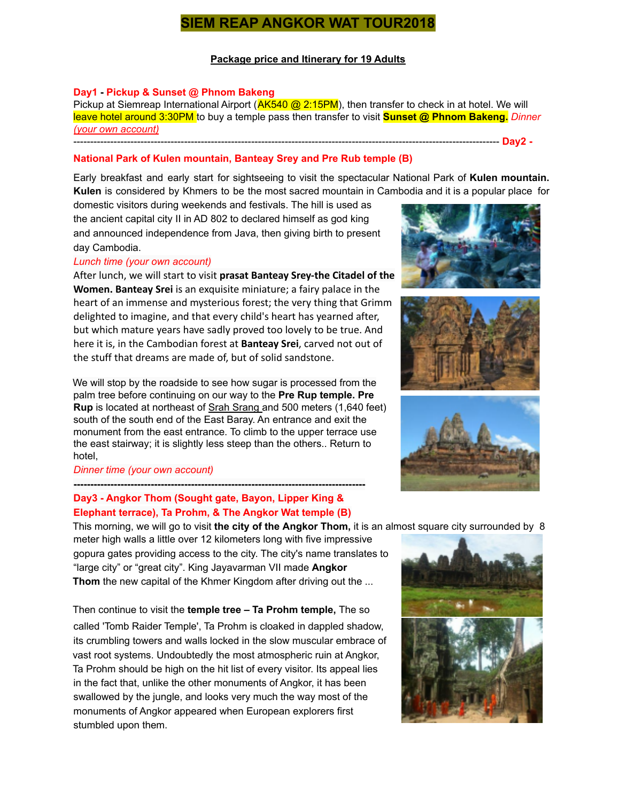# **SIEM REAP ANGKOR WAT TOUR2018**

# **Package price and Itinerary for 19 Adults**

#### **Day1 - Pickup & Sunset @ Phnom Bakeng**

Pickup at Siemreap International Airport (**AK540 @ 2:15PM**), then transfer to check in at hotel. We will leave hotel around 3:30PM to buy a temple pass then transfer to visit **Sunset @ Phnom Bakeng.** *Dinner (your own account)* ------------------------------------------------------------------------------------------------------------------------------- **Day2 -**

# **National Park of Kulen mountain, Banteay Srey and Pre Rub temple (B)**

Early breakfast and early start for sightseeing to visit the spectacular National Park of **Kulen mountain. Kulen** is considered by Khmers to be the most sacred mountain in Cambodia and it is a popular place for

domestic visitors during weekends and festivals. The hill is used as the ancient capital city II in AD 802 to declared himself as god king and announced independence from Java, then giving birth to present day Cambodia.

#### *Lunch time (your own account)*

After lunch, we will start to visit **prasat Banteay Srey-the Citadel of the Women. Banteay Srei** is an exquisite miniature; a fairy palace in the heart of an immense and mysterious forest; the very thing that Grimm delighted to imagine, and that every child's heart has yearned after, but which mature years have sadly proved too lovely to be true. And here it is, in the Cambodian forest at **Banteay Srei**, carved not out of the stuff that dreams are made of, but of solid sandstone.

We will stop by the roadside to see how sugar is processed from the palm tree before continuing on our way to the **Pre Rup temple. Pre Rup** is located at northeast of Srah Srang and 500 meters (1,640 feet) south of the south end of the East Baray. An entrance and exit the monument from the east entrance. To climb to the upper terrace use the east stairway; it is slightly less steep than the others.. Return to hotel,

#### *Dinner time (your own account)*

# **--------------------------------------------------------------------------------------- Day3 - Angkor Thom (Sought gate, Bayon, Lipper King & Elephant terrace), Ta Prohm, & The Angkor Wat temple (B)**

This morning, we will go to visit **the city of the Angkor Thom,** it is an almost square city surrounded by 8 meter high walls a little over 12 kilometers long with five impressive gopura gates providing access to the city. The city's name translates to "large city" or "great city". King Jayavarman VII made **Angkor Thom** the new capital of the Khmer Kingdom after driving out the ...

Then continue to visit the **temple tree – Ta Prohm temple,** The so

called 'Tomb Raider Temple', Ta Prohm is cloaked in dappled shadow, its crumbling towers and walls locked in the slow muscular embrace of vast root systems. Undoubtedly the most atmospheric ruin at Angkor, Ta Prohm should be high on the hit list of every visitor. Its appeal lies in the fact that, unlike the other monuments of Angkor, it has been swallowed by the jungle, and looks very much the way most of the monuments of Angkor appeared when European explorers first stumbled upon them.